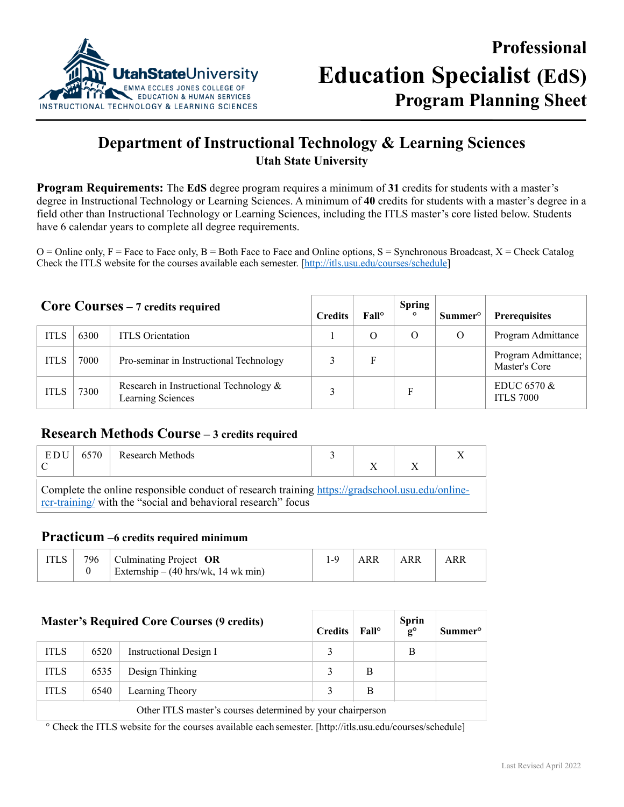

# **Department of Instructional Technology & Learning Sciences Utah State University**

**Program Requirements:** The **EdS** degree program requires a minimum of **31** credits for students with a master's degree in Instructional Technology or Learning Sciences. A minimum of **40** credits for students with a master's degree in a field other than Instructional Technology or Learning Sciences, including the ITLS master's core listed below. Students have 6 calendar years to complete all degree requirements.

 $O =$  Online only,  $F =$  Face to Face only,  $B =$  Both Face to Face and Online options,  $S =$  Synchronous Broadcast,  $X =$  Check Catalog Check the ITLS website for the courses available each semester. [[http://itls.usu.edu/courses/schedule\]](http://itls.usu.edu/courses/schedule)

| <b>Core Courses</b> $-7$ credits required |      |                                                                | <b>Credits</b> | Fall <sup>o</sup> | <b>Spring</b><br>$\circ$ | Summer <sup>o</sup> | <b>Prerequisites</b>                 |
|-------------------------------------------|------|----------------------------------------------------------------|----------------|-------------------|--------------------------|---------------------|--------------------------------------|
| <b>ITLS</b>                               | 6300 | <b>ITLS</b> Orientation                                        |                | $\Omega$          | O                        | O                   | Program Admittance                   |
| ITLS                                      | 7000 | Pro-seminar in Instructional Technology                        |                | F                 |                          |                     | Program Admittance;<br>Master's Core |
| <b>ITLS</b>                               | 7300 | Research in Instructional Technology $\&$<br>Learning Sciences |                |                   | F                        |                     | EDUC $6570 \&$<br><b>ITLS 7000</b>   |

#### **Research Methods Course – 3 credits required**

| EDU                                                                                                                                                              | 6570 | Research Methods |  |  |  |  |  |
|------------------------------------------------------------------------------------------------------------------------------------------------------------------|------|------------------|--|--|--|--|--|
|                                                                                                                                                                  |      |                  |  |  |  |  |  |
| Complete the online responsible conduct of research training https://gradschool.usu.edu/online-<br>rcr-training/ with the "social and behavioral research" focus |      |                  |  |  |  |  |  |

### **Practicum –6 credits required minimum**

|  | 796   Culminating Project $OR$                        | ARR | <b>ARR</b> | ARR |
|--|-------------------------------------------------------|-----|------------|-----|
|  | Externship – $(40 \text{ hrs/wk}, 14 \text{ wk min})$ |     |            |     |

| <b>Master's Required Core Courses (9 credits)</b>          |      |                        |   | $\text{Fall}^{\circ}$ | <b>Sprin</b><br>$\mathbf{g}^{\circ}$ | <b>Summer</b> <sup>o</sup> |  |
|------------------------------------------------------------|------|------------------------|---|-----------------------|--------------------------------------|----------------------------|--|
| <b>ITLS</b>                                                | 6520 | Instructional Design I | 3 |                       | B                                    |                            |  |
| <b>ITLS</b>                                                | 6535 | Design Thinking        | 3 | B                     |                                      |                            |  |
| <b>ITLS</b>                                                | 6540 | Learning Theory        | 3 | B                     |                                      |                            |  |
| Other ITLS master's courses determined by your chairperson |      |                        |   |                       |                                      |                            |  |

° Check the ITLS website for the courses available each semester. [\[http://itls.usu.edu/courses/schedule](http://itls.usu.edu/courses/schedule)]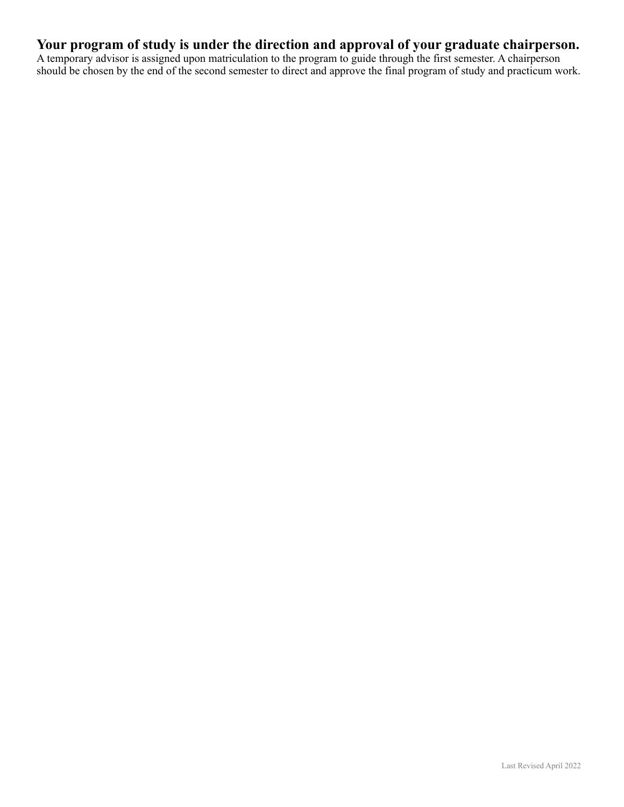## **Your program of study is under the direction and approval of your graduate chairperson.**

A temporary advisor is assigned upon matriculation to the program to guide through the first semester. A chairperson should be chosen by the end of the second semester to direct and approve the final program of study and practicum work.